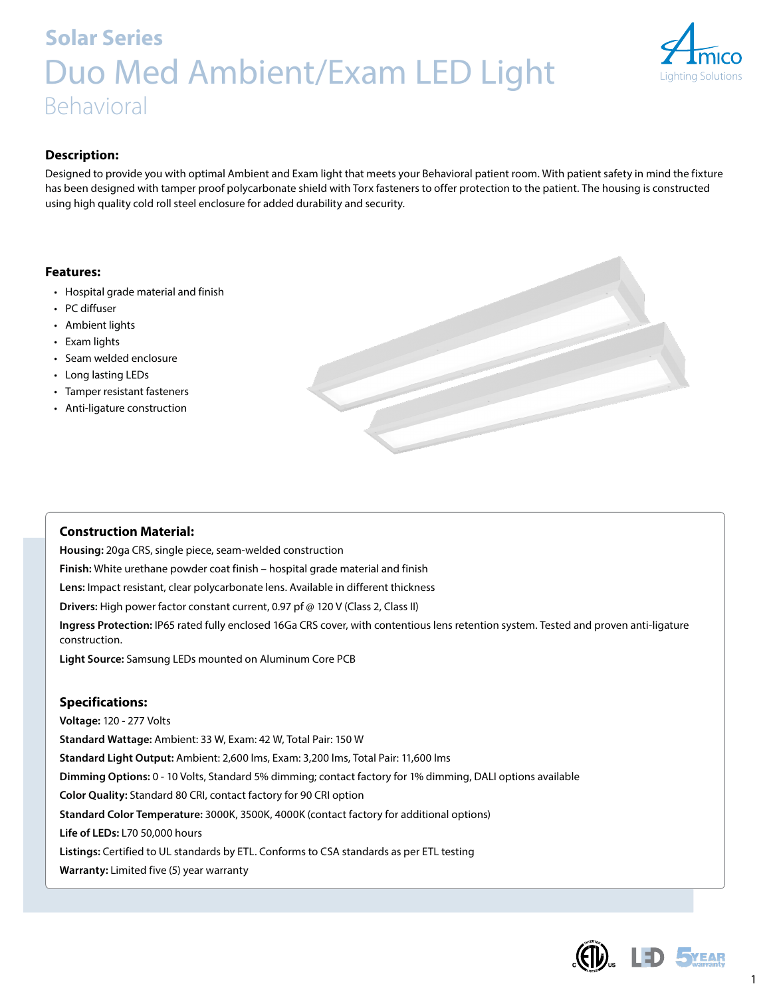# **Solar Series** Duo Med Ambient/Exam LED Light Behavioral



## **Description:**

Designed to provide you with optimal Ambient and Exam light that meets your Behavioral patient room. With patient safety in mind the fixture has been designed with tamper proof polycarbonate shield with Torx fasteners to offer protection to the patient. The housing is constructed using high quality cold roll steel enclosure for added durability and security.

### **Features:**

- Hospital grade material and finish
- PC diffuser
- Ambient lights
- Exam lights
- Seam welded enclosure
- Long lasting LEDs
- Tamper resistant fasteners
- Anti-ligature construction



## **Construction Material:**

**Housing:** 20ga CRS, single piece, seam-welded construction **Finish:** White urethane powder coat finish – hospital grade material and finish **Lens:** Impact resistant, clear polycarbonate lens. Available in different thickness **Drivers:** High power factor constant current, 0.97 pf @ 120 V (Class 2, Class II) **Ingress Protection:** IP65 rated fully enclosed 16Ga CRS cover, with contentious lens retention system. Tested and proven anti-ligature construction. **Light Source:** Samsung LEDs mounted on Aluminum Core PCB

## **Specifications:**

**Voltage:** 120 - 277 Volts **Standard Wattage:** Ambient: 33 W, Exam: 42 W, Total Pair: 150 W **Standard Light Output:** Ambient: 2,600 lms, Exam: 3,200 lms, Total Pair: 11,600 lms **Dimming Options:** 0 - 10 Volts, Standard 5% dimming; contact factory for 1% dimming, DALI options available **Color Quality:** Standard 80 CRI, contact factory for 90 CRI option **Standard Color Temperature:** 3000K, 3500K, 4000K (contact factory for additional options) **Life of LEDs:** L70 50,000 hours **Listings:** Certified to UL standards by ETL. Conforms to CSA standards as per ETL testing **Warranty:** Limited five (5) year warranty



1